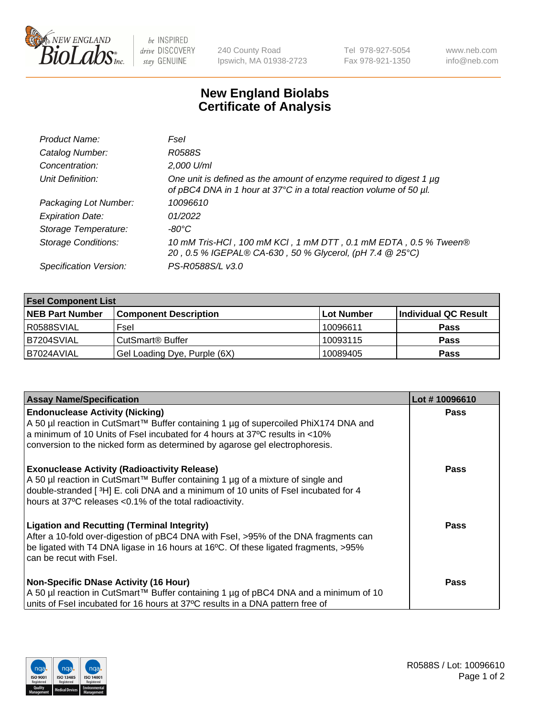

 $be$  INSPIRED drive DISCOVERY stay GENUINE

240 County Road Ipswich, MA 01938-2723 Tel 978-927-5054 Fax 978-921-1350 www.neb.com info@neb.com

## **New England Biolabs Certificate of Analysis**

| Product Name:              | Fsel                                                                                                                                      |
|----------------------------|-------------------------------------------------------------------------------------------------------------------------------------------|
| Catalog Number:            | R0588S                                                                                                                                    |
| Concentration:             | 2,000 U/ml                                                                                                                                |
| Unit Definition:           | One unit is defined as the amount of enzyme required to digest 1 µg<br>of pBC4 DNA in 1 hour at 37°C in a total reaction volume of 50 µl. |
| Packaging Lot Number:      | 10096610                                                                                                                                  |
| <b>Expiration Date:</b>    | 01/2022                                                                                                                                   |
| Storage Temperature:       | $-80^{\circ}$ C                                                                                                                           |
| <b>Storage Conditions:</b> | 10 mM Tris-HCl, 100 mM KCl, 1 mM DTT, 0.1 mM EDTA, 0.5 % Tween®<br>20, 0.5 % IGEPAL® CA-630, 50 % Glycerol, (pH 7.4 @ 25°C)               |
| Specification Version:     | PS-R0588S/L v3.0                                                                                                                          |

| <b>Fsel Component List</b> |                              |                   |                      |  |  |
|----------------------------|------------------------------|-------------------|----------------------|--|--|
| <b>NEB Part Number</b>     | <b>Component Description</b> | <b>Lot Number</b> | Individual QC Result |  |  |
| R0588SVIAL                 | Fsel                         | 10096611          | <b>Pass</b>          |  |  |
| B7204SVIAL                 | CutSmart <sup>®</sup> Buffer | 10093115          | <b>Pass</b>          |  |  |
| B7024AVIAL                 | Gel Loading Dye, Purple (6X) | 10089405          | <b>Pass</b>          |  |  |

| <b>Assay Name/Specification</b>                                                                                                                                                                                                                                                          | Lot #10096610 |
|------------------------------------------------------------------------------------------------------------------------------------------------------------------------------------------------------------------------------------------------------------------------------------------|---------------|
| <b>Endonuclease Activity (Nicking)</b><br>  A 50 µl reaction in CutSmart™ Buffer containing 1 µg of supercoiled PhiX174 DNA and                                                                                                                                                          | <b>Pass</b>   |
| a minimum of 10 Units of Fsel incubated for 4 hours at 37°C results in <10%<br>conversion to the nicked form as determined by agarose gel electrophoresis.                                                                                                                               |               |
| <b>Exonuclease Activity (Radioactivity Release)</b><br>A 50 µl reaction in CutSmart™ Buffer containing 1 µg of a mixture of single and<br>double-stranded [3H] E. coli DNA and a minimum of 10 units of Fsel incubated for 4<br>hours at 37°C releases <0.1% of the total radioactivity. | <b>Pass</b>   |
| <b>Ligation and Recutting (Terminal Integrity)</b><br>After a 10-fold over-digestion of pBC4 DNA with Fsel, >95% of the DNA fragments can<br>be ligated with T4 DNA ligase in 16 hours at 16°C. Of these ligated fragments, >95%<br>can be recut with Fsel.                              | Pass          |
| <b>Non-Specific DNase Activity (16 Hour)</b><br>  A 50 µl reaction in CutSmart™ Buffer containing 1 µg of pBC4 DNA and a minimum of 10<br>units of Fsel incubated for 16 hours at 37°C results in a DNA pattern free of                                                                  | <b>Pass</b>   |